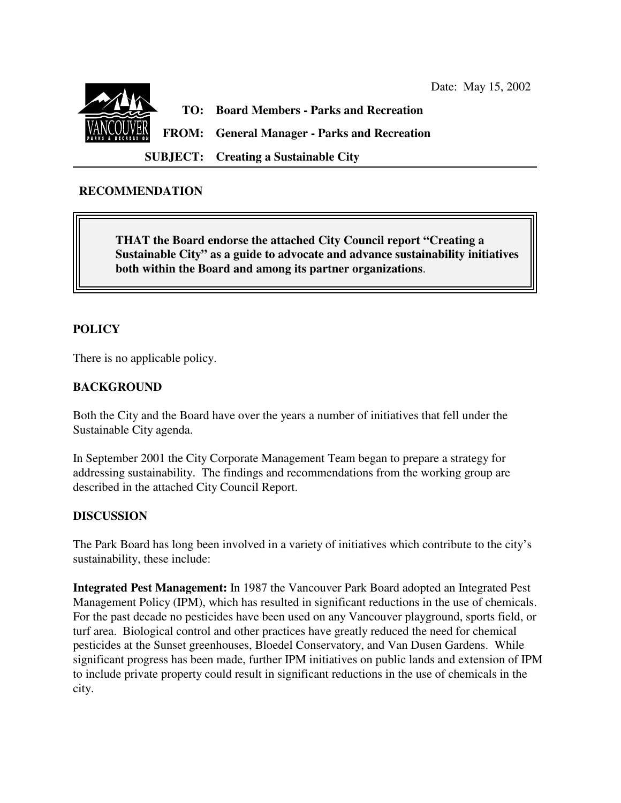

## **RECOMMENDATION**

**THAT the Board endorse the attached City Council report "Creating a Sustainable City" as a guide to advocate and advance sustainability initiatives both within the Board and among its partner organizations**.

## **POLICY**

There is no applicable policy.

### **BACKGROUND**

Both the City and the Board have over the years a number of initiatives that fell under the Sustainable City agenda.

In September 2001 the City Corporate Management Team began to prepare a strategy for addressing sustainability. The findings and recommendations from the working group are described in the attached City Council Report.

#### **DISCUSSION**

The Park Board has long been involved in a variety of initiatives which contribute to the city's sustainability, these include:

**Integrated Pest Management:** In 1987 the Vancouver Park Board adopted an Integrated Pest Management Policy (IPM), which has resulted in significant reductions in the use of chemicals. For the past decade no pesticides have been used on any Vancouver playground, sports field, or turf area. Biological control and other practices have greatly reduced the need for chemical pesticides at the Sunset greenhouses, Bloedel Conservatory, and Van Dusen Gardens. While significant progress has been made, further IPM initiatives on public lands and extension of IPM to include private property could result in significant reductions in the use of chemicals in the city.